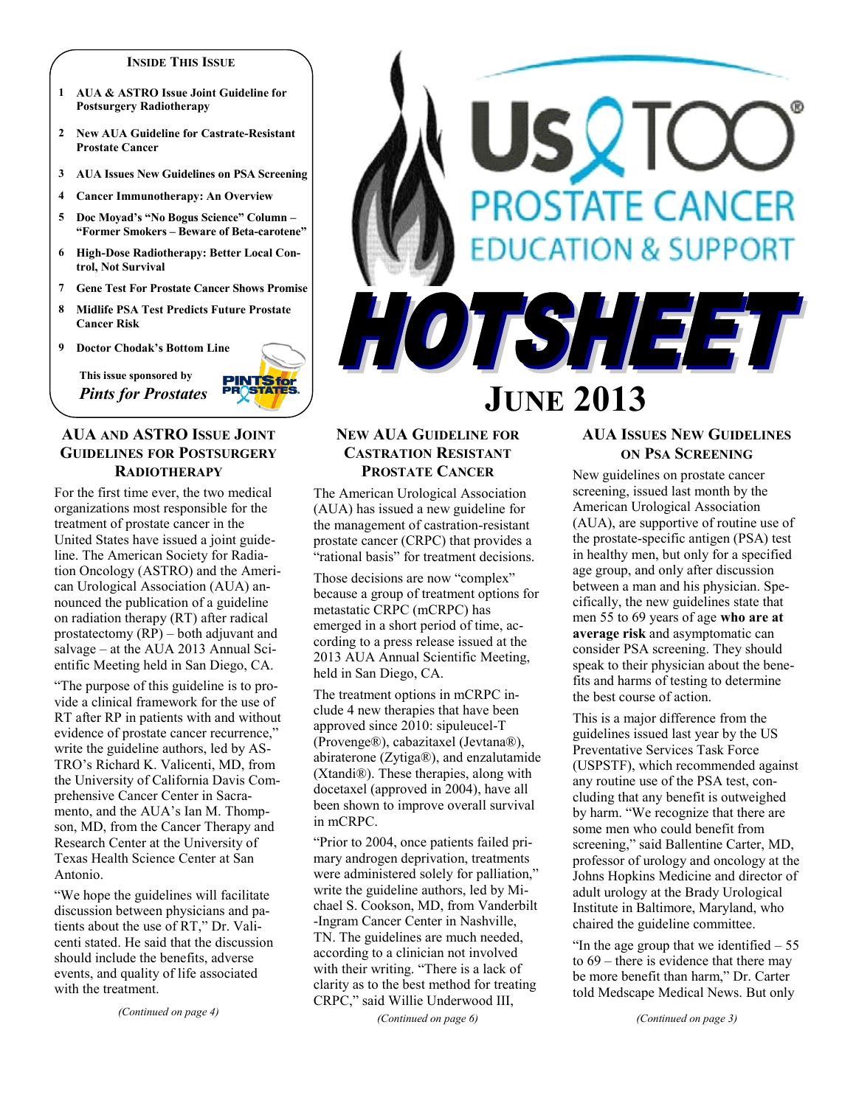#### **INSIDE THIS ISSUE**

- **1 AUA & ASTRO Issue Joint Guideline for Postsurgery Radiotherapy**
- **2 New AUA Guideline for Castrate-Resistant Prostate Cancer**
- **3 AUA Issues New Guidelines on PSA Screening**
- **4 Cancer Immunotherapy: An Overview**
- **5 Doc Moyad's "No Bogus Science" Column – "Former Smokers – Beware of Beta-carotene"**
- **6 High-Dose Radiotherapy: Better Local Control, Not Survival**
- **7 Gene Test For Prostate Cancer Shows Promise**
- **8 Midlife PSA Test Predicts Future Prostate Cancer Risk**
- **9 Doctor Chodak's Bottom Line**

**This issue sponsored by**  *Pints for Prostates*



# **AUA AND ASTRO ISSUE JOINT GUIDELINES FOR POSTSURGERY RADIOTHERAPY**

For the first time ever, the two medical organizations most responsible for the treatment of prostate cancer in the United States have issued a joint guideline. The American Society for Radiation Oncology (ASTRO) and the American Urological Association (AUA) announced the publication of a guideline on radiation therapy (RT) after radical prostatectomy (RP) – both adjuvant and salvage – at the AUA 2013 Annual Scientific Meeting held in San Diego, CA.

"The purpose of this guideline is to provide a clinical framework for the use of RT after RP in patients with and without evidence of prostate cancer recurrence," write the guideline authors, led by AS-TRO's Richard K. Valicenti, MD, from the University of California Davis Comprehensive Cancer Center in Sacramento, and the AUA's Ian M. Thompson, MD, from the Cancer Therapy and Research Center at the University of Texas Health Science Center at San Antonio.

"We hope the guidelines will facilitate discussion between physicians and patients about the use of RT," Dr. Valicenti stated. He said that the discussion should include the benefits, adverse events, and quality of life associated with the treatment.

*(Continued on page 4)*

# SVIC **PROSTATE CANCER UCATION & SUPPORT** HOTSHEET

# **JUNE 2013**

# **NEW AUA GUIDELINE FOR CASTRATION RESISTANT PROSTATE CANCER**

The American Urological Association (AUA) has issued a new guideline for the management of castration-resistant prostate cancer (CRPC) that provides a "rational basis" for treatment decisions.

Those decisions are now "complex" because a group of treatment options for metastatic CRPC (mCRPC) has emerged in a short period of time, according to a press release issued at the 2013 AUA Annual Scientific Meeting, held in San Diego, CA.

The treatment options in mCRPC include 4 new therapies that have been approved since 2010: sipuleucel-T (Provenge®), cabazitaxel (Jevtana®), abiraterone (Zytiga®), and enzalutamide (Xtandi®). These therapies, along with docetaxel (approved in 2004), have all been shown to improve overall survival in mCRPC.

"Prior to 2004, once patients failed primary androgen deprivation, treatments were administered solely for palliation," write the guideline authors, led by Michael S. Cookson, MD, from Vanderbilt -Ingram Cancer Center in Nashville, TN. The guidelines are much needed, according to a clinician not involved with their writing. "There is a lack of clarity as to the best method for treating CRPC," said Willie Underwood III,

*(Continued on page 6)*

# **AUA ISSUES NEW GUIDELINES ON PSA SCREENING**

New guidelines on prostate cancer screening, issued last month by the American Urological Association (AUA), are supportive of routine use of the prostate-specific antigen (PSA) test in healthy men, but only for a specified age group, and only after discussion between a man and his physician. Specifically, the new guidelines state that men 55 to 69 years of age **who are at average risk** and asymptomatic can consider PSA screening. They should speak to their physician about the benefits and harms of testing to determine the best course of action.

This is a major difference from the guidelines issued last year by the US Preventative Services Task Force (USPSTF), which recommended against any routine use of the PSA test, concluding that any benefit is outweighed by harm. "We recognize that there are some men who could benefit from screening," said Ballentine Carter, MD, professor of urology and oncology at the Johns Hopkins Medicine and director of adult urology at the Brady Urological Institute in Baltimore, Maryland, who chaired the guideline committee.

"In the age group that we identified  $-55$ to 69 – there is evidence that there may be more benefit than harm," Dr. Carter told Medscape Medical News. But only

*(Continued on page 3)*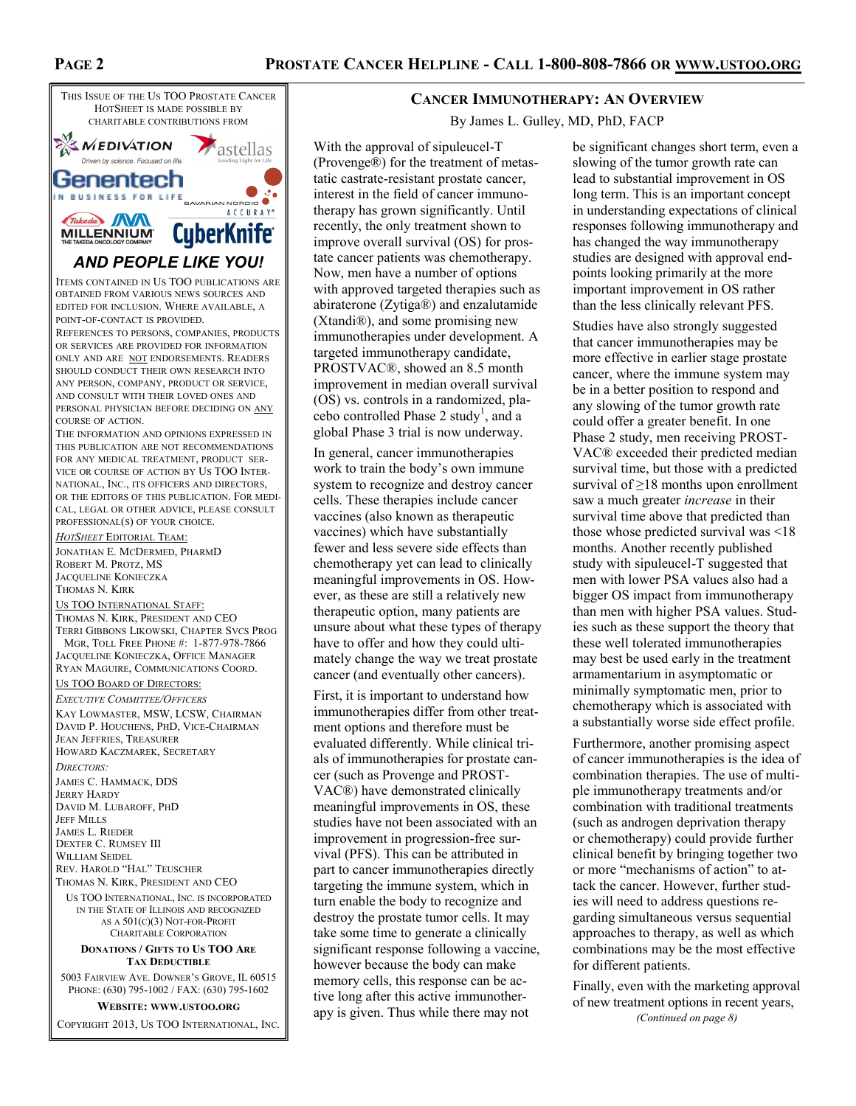

# *AND PEOPLE LIKE YOU!*

ITEMS CONTAINED IN US TOO PUBLICATIONS ARE OBTAINED FROM VARIOUS NEWS SOURCES AND EDITED FOR INCLUSION. WHERE AVAILABLE, A POINT-OF-CONTACT IS PROVIDED.

REFERENCES TO PERSONS, COMPANIES, PRODUCTS OR SERVICES ARE PROVIDED FOR INFORMATION ONLY AND ARE NOT ENDORSEMENTS. READERS SHOULD CONDUCT THEIR OWN RESEARCH INTO ANY PERSON, COMPANY, PRODUCT OR SERVICE, AND CONSULT WITH THEIR LOVED ONES AND PERSONAL PHYSICIAN BEFORE DECIDING ON ANY COURSE OF ACTION.

THE INFORMATION AND OPINIONS EXPRESSED IN THIS PUBLICATION ARE NOT RECOMMENDATIONS FOR ANY MEDICAL TREATMENT, PRODUCT SER-VICE OR COURSE OF ACTION BY US TOO INTER-NATIONAL, INC., ITS OFFICERS AND DIRECTORS, OR THE EDITORS OF THIS PUBLICATION. FOR MEDI-CAL, LEGAL OR OTHER ADVICE, PLEASE CONSULT PROFESSIONAL(S) OF YOUR CHOICE.

*HOTSHEET* EDITORIAL TEAM:

JONATHAN E. MCDERMED, PHARMD ROBERT M. PROTZ, MS JACQUELINE KONIECZKA THOMAS N. KIRK

#### US TOO INTERNATIONAL STAFF:

THOMAS N. KIRK, PRESIDENT AND CEO TERRI GIBBONS LIKOWSKI, CHAPTER SVCS PROG MGR, TOLL FREE PHONE #: 1-877-978-7866 JACQUELINE KONIECZKA, OFFICE MANAGER RYAN MAGUIRE, COMMUNICATIONS COORD.

#### US TOO BOARD OF DIRECTORS:

*EXECUTIVE COMMITTEE/OFFICERS* KAY LOWMASTER, MSW, LCSW, CHAIRMAN DAVID P. HOUCHENS, PHD, VICE-CHAIRMAN JEAN JEFFRIES, TREASURER HOWARD KACZMAREK, SECRETARY

*DIRECTORS:* JAMES C. HAMMACK, DDS JERRY HARDY DAVID M. LUBAROFF, PHD JEFF MILLS JAMES L. RIEDER DEXTER C. RUMSEY III WILLIAM SEIDEL REV. HAROLD "HAL" TEUSCHER THOMAS N. KIRK, PRESIDENT AND CEO

US TOO INTERNATIONAL, INC. IS INCORPORATED IN THE STATE OF ILLINOIS AND RECOGNIZED AS A 501(C)(3) NOT-FOR-PROFIT CHARITABLE CORPORATION

#### **DONATIONS / GIFTS TO US TOO ARE TAX DEDUCTIBLE**

5003 FAIRVIEW AVE. DOWNER'S GROVE, IL 60515 PHONE: (630) 795-1002 / FAX: (630) 795-1602

**WEBSITE: WWW.USTOO.ORG**

COPYRIGHT 2013, US TOO INTERNATIONAL, INC.

#### **CANCER IMMUNOTHERAPY: AN OVERVIEW**

By James L. Gulley, MD, PhD, FACP

With the approval of sipuleucel-T (Provenge®) for the treatment of metastatic castrate-resistant prostate cancer, interest in the field of cancer immunotherapy has grown significantly. Until recently, the only treatment shown to improve overall survival (OS) for prostate cancer patients was chemotherapy. Now, men have a number of options with approved targeted therapies such as abiraterone (Zytiga®) and enzalutamide (Xtandi®), and some promising new immunotherapies under development. A targeted immunotherapy candidate, PROSTVAC®, showed an 8.5 month improvement in median overall survival (OS) vs. controls in a randomized, placebo controlled Phase 2 study<sup>1</sup>, and a global Phase 3 trial is now underway.

In general, cancer immunotherapies work to train the body's own immune system to recognize and destroy cancer cells. These therapies include cancer vaccines (also known as therapeutic vaccines) which have substantially fewer and less severe side effects than chemotherapy yet can lead to clinically meaningful improvements in OS. However, as these are still a relatively new therapeutic option, many patients are unsure about what these types of therapy have to offer and how they could ultimately change the way we treat prostate cancer (and eventually other cancers).

First, it is important to understand how immunotherapies differ from other treatment options and therefore must be evaluated differently. While clinical trials of immunotherapies for prostate cancer (such as Provenge and PROST-VAC®) have demonstrated clinically meaningful improvements in OS, these studies have not been associated with an improvement in progression-free survival (PFS). This can be attributed in part to cancer immunotherapies directly targeting the immune system, which in turn enable the body to recognize and destroy the prostate tumor cells. It may take some time to generate a clinically significant response following a vaccine, however because the body can make memory cells, this response can be active long after this active immunotherapy is given. Thus while there may not

be significant changes short term, even a slowing of the tumor growth rate can lead to substantial improvement in OS long term. This is an important concept in understanding expectations of clinical responses following immunotherapy and has changed the way immunotherapy studies are designed with approval endpoints looking primarily at the more important improvement in OS rather than the less clinically relevant PFS.

Studies have also strongly suggested that cancer immunotherapies may be more effective in earlier stage prostate cancer, where the immune system may be in a better position to respond and any slowing of the tumor growth rate could offer a greater benefit. In one Phase 2 study, men receiving PROST-VAC® exceeded their predicted median survival time, but those with a predicted survival of  $\geq$ 18 months upon enrollment saw a much greater *increase* in their survival time above that predicted than those whose predicted survival was <18 months. Another recently published study with sipuleucel-T suggested that men with lower PSA values also had a bigger OS impact from immunotherapy than men with higher PSA values. Studies such as these support the theory that these well tolerated immunotherapies may best be used early in the treatment armamentarium in asymptomatic or minimally symptomatic men, prior to chemotherapy which is associated with a substantially worse side effect profile.

Furthermore, another promising aspect of cancer immunotherapies is the idea of combination therapies. The use of multiple immunotherapy treatments and/or combination with traditional treatments (such as androgen deprivation therapy or chemotherapy) could provide further clinical benefit by bringing together two or more "mechanisms of action" to attack the cancer. However, further studies will need to address questions regarding simultaneous versus sequential approaches to therapy, as well as which combinations may be the most effective for different patients.

Finally, even with the marketing approval of new treatment options in recent years, *(Continued on page 8)*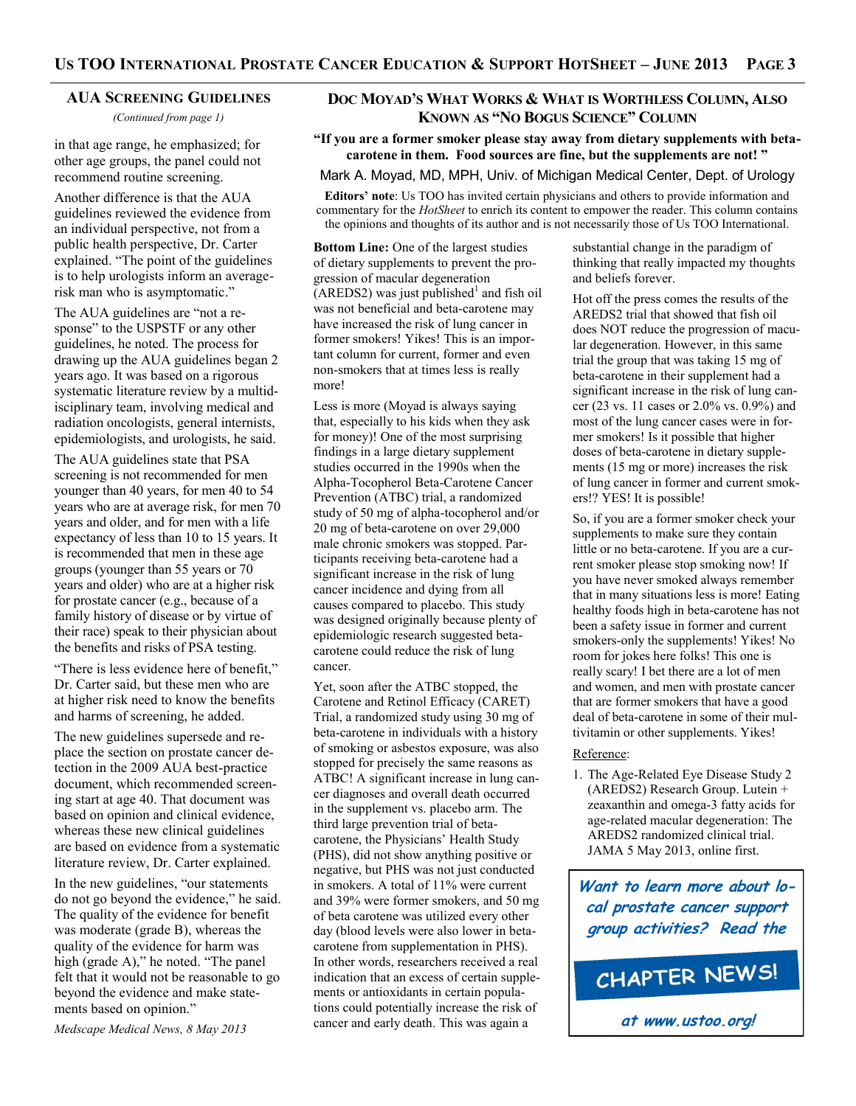#### **AUA SCREENING GUIDELINES**

*(Continued from page 1)*

in that age range, he emphasized; for other age groups, the panel could not recommend routine screening.

Another difference is that the AUA guidelines reviewed the evidence from an individual perspective, not from a public health perspective, Dr. Carter explained. "The point of the guidelines is to help urologists inform an averagerisk man who is asymptomatic."

The AUA guidelines are "not a response" to the USPSTF or any other guidelines, he noted. The process for drawing up the AUA guidelines began 2 years ago. It was based on a rigorous systematic literature review by a multidisciplinary team, involving medical and radiation oncologists, general internists, epidemiologists, and urologists, he said.

The AUA guidelines state that PSA screening is not recommended for men younger than 40 years, for men 40 to 54 years who are at average risk, for men 70 years and older, and for men with a life expectancy of less than 10 to 15 years. It is recommended that men in these age groups (younger than 55 years or 70 years and older) who are at a higher risk for prostate cancer (e.g., because of a family history of disease or by virtue of their race) speak to their physician about the benefits and risks of PSA testing.

"There is less evidence here of benefit," Dr. Carter said, but these men who are at higher risk need to know the benefits and harms of screening, he added.

The new guidelines supersede and replace the section on prostate cancer detection in the 2009 AUA best-practice document, which recommended screening start at age 40. That document was based on opinion and clinical evidence, whereas these new clinical guidelines are based on evidence from a systematic literature review, Dr. Carter explained.

In the new guidelines, "our statements do not go beyond the evidence," he said. The quality of the evidence for benefit was moderate (grade B), whereas the quality of the evidence for harm was high (grade A)," he noted. "The panel felt that it would not be reasonable to go beyond the evidence and make statements based on opinion."

*Medscape Medical News, 8 May 2013*

# **DOC MOYAD'S WHAT WORKS & WHAT IS WORTHLESS COLUMN, ALSO KNOWN AS "NO BOGUS SCIENCE" COLUMN**

#### **"If you are a former smoker please stay away from dietary supplements with betacarotene in them. Food sources are fine, but the supplements are not! "**

Mark A. Moyad, MD, MPH, Univ. of Michigan Medical Center, Dept. of Urology

**Editors' note**: Us TOO has invited certain physicians and others to provide information and commentary for the *HotSheet* to enrich its content to empower the reader. This column contains the opinions and thoughts of its author and is not necessarily those of Us TOO International.

**Bottom Line:** One of the largest studies of dietary supplements to prevent the progression of macular degeneration  $(AREDS2)$  was just published<sup>1</sup> and fish oil was not beneficial and beta-carotene may have increased the risk of lung cancer in former smokers! Yikes! This is an important column for current, former and even non-smokers that at times less is really more!

Less is more (Moyad is always saying that, especially to his kids when they ask for money)! One of the most surprising findings in a large dietary supplement studies occurred in the 1990s when the Alpha-Tocopherol Beta-Carotene Cancer Prevention (ATBC) trial, a randomized study of 50 mg of alpha-tocopherol and/or 20 mg of beta-carotene on over 29,000 male chronic smokers was stopped. Participants receiving beta-carotene had a significant increase in the risk of lung cancer incidence and dying from all causes compared to placebo. This study was designed originally because plenty of epidemiologic research suggested betacarotene could reduce the risk of lung cancer.

Yet, soon after the ATBC stopped, the Carotene and Retinol Efficacy (CARET) Trial, a randomized study using 30 mg of beta-carotene in individuals with a history of smoking or asbestos exposure, was also stopped for precisely the same reasons as ATBC! A significant increase in lung cancer diagnoses and overall death occurred in the supplement vs. placebo arm. The third large prevention trial of betacarotene, the Physicians' Health Study (PHS), did not show anything positive or negative, but PHS was not just conducted in smokers. A total of 11% were current and 39% were former smokers, and 50 mg of beta carotene was utilized every other day (blood levels were also lower in betacarotene from supplementation in PHS). In other words, researchers received a real indication that an excess of certain supplements or antioxidants in certain populations could potentially increase the risk of cancer and early death. This was again a

substantial change in the paradigm of thinking that really impacted my thoughts and beliefs forever.

Hot off the press comes the results of the AREDS2 trial that showed that fish oil does NOT reduce the progression of macular degeneration. However, in this same trial the group that was taking 15 mg of beta-carotene in their supplement had a significant increase in the risk of lung cancer (23 vs. 11 cases or 2.0% vs. 0.9%) and most of the lung cancer cases were in former smokers! Is it possible that higher doses of beta-carotene in dietary supplements (15 mg or more) increases the risk of lung cancer in former and current smokers!? YES! It is possible!

So, if you are a former smoker check your supplements to make sure they contain little or no beta-carotene. If you are a current smoker please stop smoking now! If you have never smoked always remember that in many situations less is more! Eating healthy foods high in beta-carotene has not been a safety issue in former and current smokers-only the supplements! Yikes! No room for jokes here folks! This one is really scary! I bet there are a lot of men and women, and men with prostate cancer that are former smokers that have a good deal of beta-carotene in some of their multivitamin or other supplements. Yikes!

#### Reference:

1. The Age-Related Eye Disease Study 2 (AREDS2) Research Group. Lutein + zeaxanthin and omega-3 fatty acids for age-related macular degeneration: The AREDS2 randomized clinical trial. JAMA 5 May 2013, online first.

**Want to learn more about local prostate cancer support group activities? Read the**

CHAPTER NEWS!

**at www.ustoo.org!**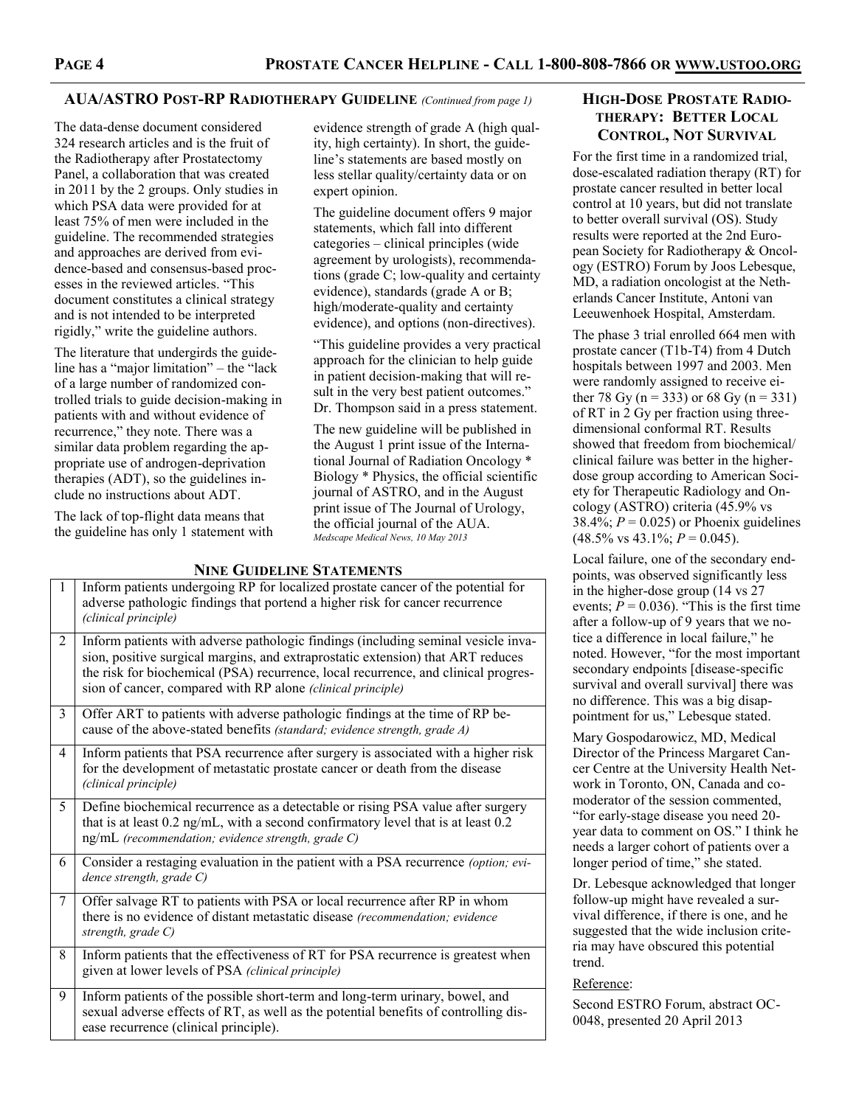# **AUA/ASTRO POST-RP RADIOTHERAPY GUIDELINE** *(Continued from page 1)*

The data-dense document considered 324 research articles and is the fruit of the Radiotherapy after Prostatectomy Panel, a collaboration that was created in 2011 by the 2 groups. Only studies in which PSA data were provided for at least 75% of men were included in the guideline. The recommended strategies and approaches are derived from evidence-based and consensus-based processes in the reviewed articles. "This document constitutes a clinical strategy and is not intended to be interpreted rigidly," write the guideline authors.

The literature that undergirds the guideline has a "major limitation" – the "lack of a large number of randomized controlled trials to guide decision-making in patients with and without evidence of recurrence," they note. There was a similar data problem regarding the appropriate use of androgen-deprivation therapies (ADT), so the guidelines include no instructions about ADT.

The lack of top-flight data means that the guideline has only 1 statement with evidence strength of grade A (high quality, high certainty). In short, the guideline's statements are based mostly on less stellar quality/certainty data or on expert opinion.

The guideline document offers 9 major statements, which fall into different categories – clinical principles (wide agreement by urologists), recommendations (grade C; low-quality and certainty evidence), standards (grade A or B; high/moderate-quality and certainty evidence), and options (non-directives).

"This guideline provides a very practical approach for the clinician to help guide in patient decision-making that will result in the very best patient outcomes." Dr. Thompson said in a press statement.

The new guideline will be published in the August 1 print issue of the International Journal of Radiation Oncology \* Biology \* Physics, the official scientific journal of ASTRO, and in the August print issue of The Journal of Urology, the official journal of the AUA. *Medscape Medical News, 10 May 2013*

# 1 Inform patients undergoing RP for localized prostate cancer of the potential for adverse pathologic findings that portend a higher risk for cancer recurrence *(clinical principle)* 2 Inform patients with adverse pathologic findings (including seminal vesicle invasion, positive surgical margins, and extraprostatic extension) that ART reduces the risk for biochemical (PSA) recurrence, local recurrence, and clinical progression of cancer, compared with RP alone *(clinical principle)* 3 Offer ART to patients with adverse pathologic findings at the time of RP because of the above-stated benefits *(standard; evidence strength, grade A)* 4 Inform patients that PSA recurrence after surgery is associated with a higher risk for the development of metastatic prostate cancer or death from the disease *(clinical principle)* 5 Define biochemical recurrence as a detectable or rising PSA value after surgery that is at least 0.2 ng/mL, with a second confirmatory level that is at least 0.2 ng/mL *(recommendation; evidence strength, grade C)* 6 Consider a restaging evaluation in the patient with a PSA recurrence *(option; evidence strength, grade C)* 7 Offer salvage RT to patients with PSA or local recurrence after RP in whom there is no evidence of distant metastatic disease *(recommendation; evidence strength, grade C)* 8 Inform patients that the effectiveness of RT for PSA recurrence is greatest when given at lower levels of PSA *(clinical principle)* 9 Inform patients of the possible short-term and long-term urinary, bowel, and sexual adverse effects of RT, as well as the potential benefits of controlling disease recurrence (clinical principle).

# **NINE GUIDELINE STATEMENTS**

# **HIGH-DOSE PROSTATE RADIO-THERAPY: BETTER LOCAL CONTROL, NOT SURVIVAL**

For the first time in a randomized trial, dose-escalated radiation therapy (RT) for prostate cancer resulted in better local control at 10 years, but did not translate to better overall survival (OS). Study results were reported at the 2nd European Society for Radiotherapy & Oncology (ESTRO) Forum by Joos Lebesque, MD, a radiation oncologist at the Netherlands Cancer Institute, Antoni van Leeuwenhoek Hospital, Amsterdam.

The phase 3 trial enrolled 664 men with prostate cancer (T1b-T4) from 4 Dutch hospitals between 1997 and 2003. Men were randomly assigned to receive either 78 Gy (n = 333) or 68 Gy (n = 331) of RT in 2 Gy per fraction using threedimensional conformal RT. Results showed that freedom from biochemical/ clinical failure was better in the higherdose group according to American Society for Therapeutic Radiology and Oncology (ASTRO) criteria (45.9% vs 38.4%;  $P = 0.025$ ) or Phoenix guidelines  $(48.5\% \text{ vs } 43.1\%; P = 0.045).$ 

Local failure, one of the secondary endpoints, was observed significantly less in the higher-dose group (14 vs 27 events;  $P = 0.036$ ). "This is the first time after a follow-up of 9 years that we notice a difference in local failure," he noted. However, "for the most important secondary endpoints [disease-specific survival and overall survival] there was no difference. This was a big disappointment for us," Lebesque stated.

Mary Gospodarowicz, MD, Medical Director of the Princess Margaret Cancer Centre at the University Health Network in Toronto, ON, Canada and comoderator of the session commented, "for early-stage disease you need 20 year data to comment on OS." I think he needs a larger cohort of patients over a longer period of time," she stated.

Dr. Lebesque acknowledged that longer follow-up might have revealed a survival difference, if there is one, and he suggested that the wide inclusion criteria may have obscured this potential trend.

#### Reference:

Second ESTRO Forum, abstract OC-0048, presented 20 April 2013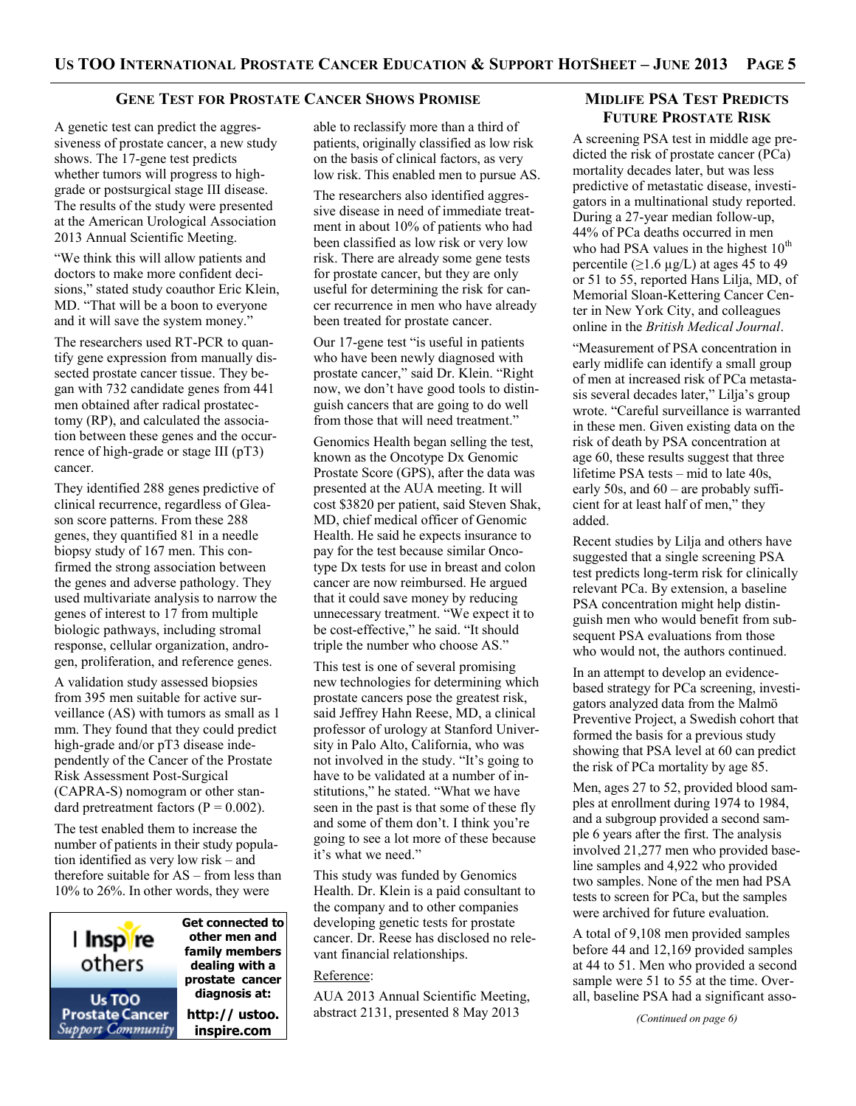#### **GENE TEST FOR PROSTATE CANCER SHOWS PROMISE**

A genetic test can predict the aggressiveness of prostate cancer, a new study shows. The 17-gene test predicts whether tumors will progress to highgrade or postsurgical stage III disease. The results of the study were presented at the American Urological Association 2013 Annual Scientific Meeting.

"We think this will allow patients and doctors to make more confident decisions," stated study coauthor Eric Klein, MD. "That will be a boon to everyone and it will save the system money."

The researchers used RT-PCR to quantify gene expression from manually dissected prostate cancer tissue. They began with 732 candidate genes from 441 men obtained after radical prostatectomy (RP), and calculated the association between these genes and the occurrence of high-grade or stage III (pT3) cancer.

They identified 288 genes predictive of clinical recurrence, regardless of Gleason score patterns. From these 288 genes, they quantified 81 in a needle biopsy study of 167 men. This confirmed the strong association between the genes and adverse pathology. They used multivariate analysis to narrow the genes of interest to 17 from multiple biologic pathways, including stromal response, cellular organization, androgen, proliferation, and reference genes.

A validation study assessed biopsies from 395 men suitable for active surveillance (AS) with tumors as small as 1 mm. They found that they could predict high-grade and/or pT3 disease independently of the Cancer of the Prostate Risk Assessment Post-Surgical (CAPRA-S) nomogram or other standard pretreatment factors ( $P = 0.002$ ).

The test enabled them to increase the number of patients in their study population identified as very low risk – and therefore suitable for AS – from less than 10% to 26%. In other words, they were



**Get connected to other men and family members dealing with a prostate cancer diagnosis at: http:// ustoo.** 

able to reclassify more than a third of patients, originally classified as low risk on the basis of clinical factors, as very low risk. This enabled men to pursue AS.

The researchers also identified aggressive disease in need of immediate treatment in about 10% of patients who had been classified as low risk or very low risk. There are already some gene tests for prostate cancer, but they are only useful for determining the risk for cancer recurrence in men who have already been treated for prostate cancer.

Our 17-gene test "is useful in patients who have been newly diagnosed with prostate cancer," said Dr. Klein. "Right now, we don't have good tools to distinguish cancers that are going to do well from those that will need treatment."

Genomics Health began selling the test, known as the Oncotype Dx Genomic Prostate Score (GPS), after the data was presented at the AUA meeting. It will cost \$3820 per patient, said Steven Shak, MD, chief medical officer of Genomic Health. He said he expects insurance to pay for the test because similar Oncotype Dx tests for use in breast and colon cancer are now reimbursed. He argued that it could save money by reducing unnecessary treatment. "We expect it to be cost-effective," he said. "It should triple the number who choose AS."

This test is one of several promising new technologies for determining which prostate cancers pose the greatest risk, said Jeffrey Hahn Reese, MD, a clinical professor of urology at Stanford University in Palo Alto, California, who was not involved in the study. "It's going to have to be validated at a number of institutions," he stated. "What we have seen in the past is that some of these fly and some of them don't. I think you're going to see a lot more of these because it's what we need."

This study was funded by Genomics Health. Dr. Klein is a paid consultant to the company and to other companies developing genetic tests for prostate cancer. Dr. Reese has disclosed no relevant financial relationships.

#### Reference:

AUA 2013 Annual Scientific Meeting, abstract 2131, presented 8 May 2013

# **MIDLIFE PSA TEST PREDICTS FUTURE PROSTATE RISK**

A screening PSA test in middle age predicted the risk of prostate cancer (PCa) mortality decades later, but was less predictive of metastatic disease, investigators in a multinational study reported. During a 27-year median follow-up, 44% of PCa deaths occurred in men who had PSA values in the highest  $10^{th}$ percentile ( $\geq$ 1.6 µg/L) at ages 45 to 49 or 51 to 55, reported Hans Lilja, MD, of Memorial Sloan-Kettering Cancer Center in New York City, and colleagues online in the *British Medical Journal*.

"Measurement of PSA concentration in early midlife can identify a small group of men at increased risk of PCa metastasis several decades later," Lilja's group wrote. "Careful surveillance is warranted in these men. Given existing data on the risk of death by PSA concentration at age 60, these results suggest that three lifetime PSA tests – mid to late 40s, early 50s, and 60 – are probably sufficient for at least half of men," they added.

Recent studies by Lilja and others have suggested that a single screening PSA test predicts long-term risk for clinically relevant PCa. By extension, a baseline PSA concentration might help distinguish men who would benefit from subsequent PSA evaluations from those who would not, the authors continued.

In an attempt to develop an evidencebased strategy for PCa screening, investigators analyzed data from the Malmö Preventive Project, a Swedish cohort that formed the basis for a previous study showing that PSA level at 60 can predict the risk of PCa mortality by age 85.

Men, ages 27 to 52, provided blood samples at enrollment during 1974 to 1984, and a subgroup provided a second sample 6 years after the first. The analysis involved 21,277 men who provided baseline samples and 4,922 who provided two samples. None of the men had PSA tests to screen for PCa, but the samples were archived for future evaluation.

A total of 9,108 men provided samples before 44 and 12,169 provided samples at 44 to 51. Men who provided a second sample were 51 to 55 at the time. Overall, baseline PSA had a significant asso-

*(Continued on page 6)*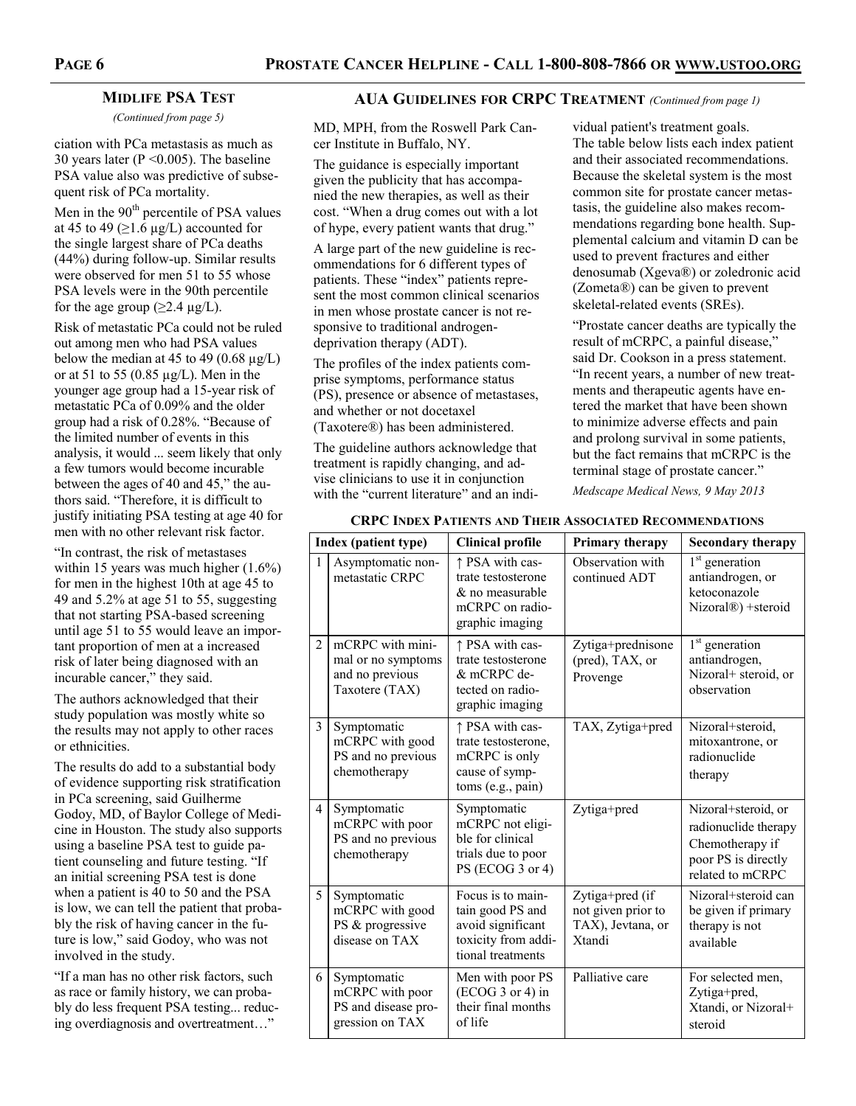# **MIDLIFE PSA TEST**

*(Continued from page 5)*

ciation with PCa metastasis as much as 30 years later (P <0.005). The baseline PSA value also was predictive of subsequent risk of PCa mortality.

Men in the 90<sup>th</sup> percentile of PSA values at 45 to 49 ( $\geq$ 1.6 µg/L) accounted for the single largest share of PCa deaths (44%) during follow-up. Similar results were observed for men 51 to 55 whose PSA levels were in the 90th percentile for the age group ( $\geq$ 2.4 µg/L).

Risk of metastatic PCa could not be ruled out among men who had PSA values below the median at 45 to 49 (0.68  $\mu$ g/L) or at 51 to 55 (0.85  $\mu$ g/L). Men in the younger age group had a 15-year risk of metastatic PCa of 0.09% and the older group had a risk of 0.28%. "Because of the limited number of events in this analysis, it would ... seem likely that only a few tumors would become incurable between the ages of 40 and 45," the authors said. "Therefore, it is difficult to justify initiating PSA testing at age 40 for men with no other relevant risk factor.

"In contrast, the risk of metastases within 15 years was much higher  $(1.6\%)$ for men in the highest 10th at age 45 to 49 and 5.2% at age 51 to 55, suggesting that not starting PSA-based screening until age 51 to 55 would leave an important proportion of men at a increased risk of later being diagnosed with an incurable cancer," they said.

The authors acknowledged that their study population was mostly white so the results may not apply to other races or ethnicities.

The results do add to a substantial body of evidence supporting risk stratification in PCa screening, said Guilherme Godoy, MD, of Baylor College of Medicine in Houston. The study also supports using a baseline PSA test to guide patient counseling and future testing. "If an initial screening PSA test is done when a patient is 40 to 50 and the PSA is low, we can tell the patient that probably the risk of having cancer in the future is low," said Godoy, who was not involved in the study.

"If a man has no other risk factors, such as race or family history, we can probably do less frequent PSA testing... reducing overdiagnosis and overtreatment…"

# **AUA GUIDELINES FOR CRPC TREATMENT** *(Continued from page 1)*

MD, MPH, from the Roswell Park Cancer Institute in Buffalo, NY.

The guidance is especially important given the publicity that has accompanied the new therapies, as well as their cost. "When a drug comes out with a lot of hype, every patient wants that drug."

A large part of the new guideline is recommendations for 6 different types of patients. These "index" patients represent the most common clinical scenarios in men whose prostate cancer is not responsive to traditional androgendeprivation therapy (ADT).

The profiles of the index patients comprise symptoms, performance status (PS), presence or absence of metastases, and whether or not docetaxel (Taxotere®) has been administered.

The guideline authors acknowledge that treatment is rapidly changing, and advise clinicians to use it in conjunction with the "current literature" and an indi-

vidual patient's treatment goals. The table below lists each index patient and their associated recommendations. Because the skeletal system is the most common site for prostate cancer metastasis, the guideline also makes recommendations regarding bone health. Supplemental calcium and vitamin D can be used to prevent fractures and either denosumab (Xgeva®) or zoledronic acid (Zometa®) can be given to prevent skeletal-related events (SREs).

"Prostate cancer deaths are typically the result of mCRPC, a painful disease," said Dr. Cookson in a press statement. "In recent years, a number of new treatments and therapeutic agents have entered the market that have been shown to minimize adverse effects and pain and prolong survival in some patients, but the fact remains that mCRPC is the terminal stage of prostate cancer."

*Medscape Medical News, 9 May 2013*

| Index (patient type) |                                                                             | <b>Clinical profile</b>                                                                                | Primary therapy                                                      | <b>Secondary therapy</b>                                                                                  |
|----------------------|-----------------------------------------------------------------------------|--------------------------------------------------------------------------------------------------------|----------------------------------------------------------------------|-----------------------------------------------------------------------------------------------------------|
| $\mathbf{1}$         | Asymptomatic non-<br>metastatic CRPC                                        | ↑ PSA with cas-<br>trate testosterone<br>& no measurable<br>mCRPC on radio-<br>graphic imaging         | Observation with<br>continued ADT                                    | 1 <sup>st</sup> generation<br>antiandrogen, or<br>ketoconazole<br>Nizoral <sup>®</sup> ) +steroid         |
| $\overline{2}$       | mCRPC with mini-<br>mal or no symptoms<br>and no previous<br>Taxotere (TAX) | ↑ PSA with cas-<br>trate testosterone<br>& mCRPC de-<br>tected on radio-<br>graphic imaging            | Zytiga+prednisone<br>(pred), TAX, or<br>Provenge                     | 1 <sup>st</sup> generation<br>antiandrogen,<br>Nizoral+ steroid, or<br>observation                        |
| 3                    | Symptomatic<br>mCRPC with good<br>PS and no previous<br>chemotherapy        | ↑ PSA with cas-<br>trate testosterone,<br>mCRPC is only<br>cause of symp-<br>toms (e.g., pain)         | TAX, Zytiga+pred                                                     | Nizoral+steroid,<br>mitoxantrone, or<br>radionuclide<br>therapy                                           |
| $\overline{4}$       | Symptomatic<br>mCRPC with poor<br>PS and no previous<br>chemotherapy        | Symptomatic<br>mCRPC not eligi-<br>ble for clinical<br>trials due to poor<br>PS (ECOG 3 or 4)          | Zytiga+pred                                                          | Nizoral+steroid, or<br>radionuclide therapy<br>Chemotherapy if<br>poor PS is directly<br>related to mCRPC |
| 5                    | Symptomatic<br>mCRPC with good<br>PS & progressive<br>disease on TAX        | Focus is to main-<br>tain good PS and<br>avoid significant<br>toxicity from addi-<br>tional treatments | Zytiga+pred (if<br>not given prior to<br>TAX), Jevtana, or<br>Xtandi | Nizoral+steroid can<br>be given if primary<br>therapy is not<br>available                                 |
| 6                    | Symptomatic<br>mCRPC with poor<br>PS and disease pro-<br>gression on TAX    | Men with poor PS<br>$(ECOG 3 or 4)$ in<br>their final months<br>of life                                | Palliative care                                                      | For selected men,<br>Zytiga+pred,<br>Xtandi, or Nizoral+<br>steroid                                       |

# **CRPC INDEX PATIENTS AND THEIR ASSOCIATED RECOMMENDATIONS**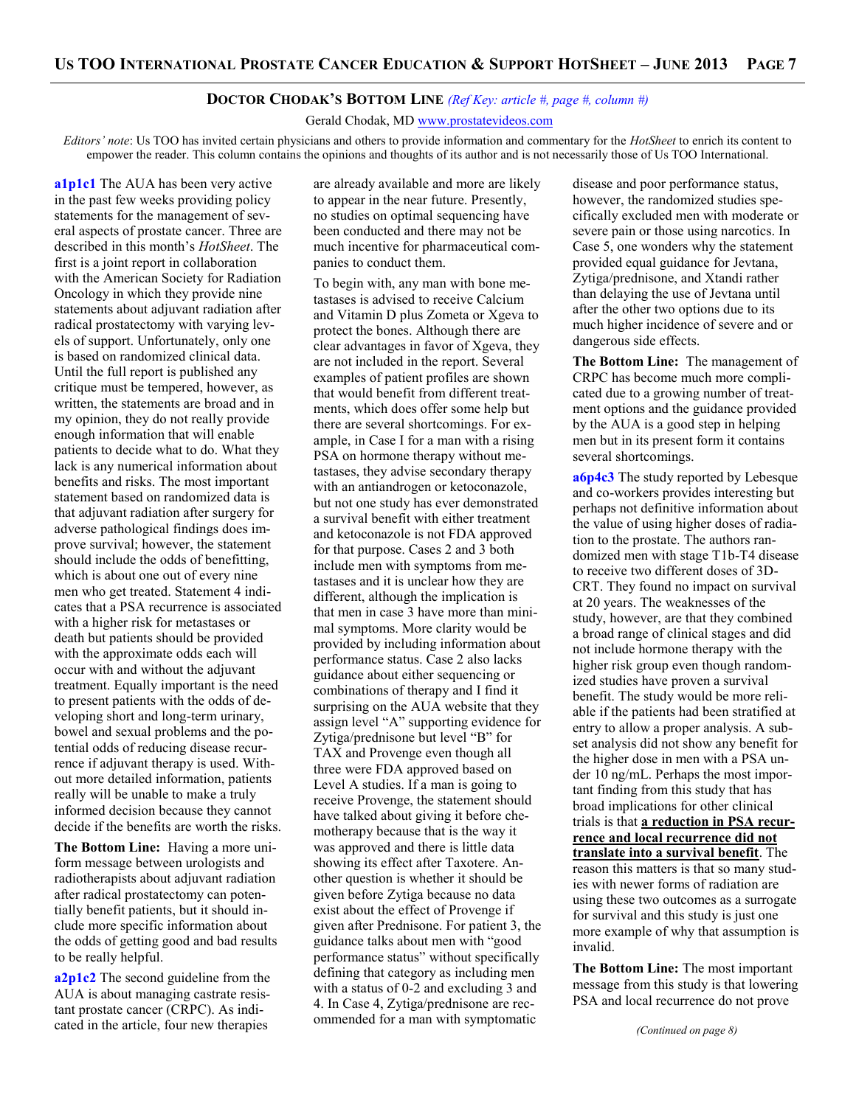#### **DOCTOR CHODAK'S BOTTOM LINE** *(Ref Key: article #, page #, column #)*

Gerald Chodak, MD www.prostatevideos.com

*Editors' note*: Us TOO has invited certain physicians and others to provide information and commentary for the *HotSheet* to enrich its content to empower the reader. This column contains the opinions and thoughts of its author and is not necessarily those of Us TOO International.

**a1p1c1** The AUA has been very active in the past few weeks providing policy statements for the management of several aspects of prostate cancer. Three are described in this month's *HotSheet*. The first is a joint report in collaboration with the American Society for Radiation Oncology in which they provide nine statements about adjuvant radiation after radical prostatectomy with varying levels of support. Unfortunately, only one is based on randomized clinical data. Until the full report is published any critique must be tempered, however, as written, the statements are broad and in my opinion, they do not really provide enough information that will enable patients to decide what to do. What they lack is any numerical information about benefits and risks. The most important statement based on randomized data is that adjuvant radiation after surgery for adverse pathological findings does improve survival; however, the statement should include the odds of benefitting, which is about one out of every nine men who get treated. Statement 4 indicates that a PSA recurrence is associated with a higher risk for metastases or death but patients should be provided with the approximate odds each will occur with and without the adjuvant treatment. Equally important is the need to present patients with the odds of developing short and long-term urinary, bowel and sexual problems and the potential odds of reducing disease recurrence if adjuvant therapy is used. Without more detailed information, patients really will be unable to make a truly informed decision because they cannot decide if the benefits are worth the risks.

**The Bottom Line:** Having a more uniform message between urologists and radiotherapists about adjuvant radiation after radical prostatectomy can potentially benefit patients, but it should include more specific information about the odds of getting good and bad results to be really helpful.

**a2p1c2** The second guideline from the AUA is about managing castrate resistant prostate cancer (CRPC). As indicated in the article, four new therapies

are already available and more are likely to appear in the near future. Presently, no studies on optimal sequencing have been conducted and there may not be much incentive for pharmaceutical companies to conduct them.

To begin with, any man with bone metastases is advised to receive Calcium and Vitamin D plus Zometa or Xgeva to protect the bones. Although there are clear advantages in favor of Xgeva, they are not included in the report. Several examples of patient profiles are shown that would benefit from different treatments, which does offer some help but there are several shortcomings. For example, in Case I for a man with a rising PSA on hormone therapy without metastases, they advise secondary therapy with an antiandrogen or ketoconazole, but not one study has ever demonstrated a survival benefit with either treatment and ketoconazole is not FDA approved for that purpose. Cases 2 and 3 both include men with symptoms from metastases and it is unclear how they are different, although the implication is that men in case 3 have more than minimal symptoms. More clarity would be provided by including information about performance status. Case 2 also lacks guidance about either sequencing or combinations of therapy and I find it surprising on the AUA website that they assign level "A" supporting evidence for Zytiga/prednisone but level "B" for TAX and Provenge even though all three were FDA approved based on Level A studies. If a man is going to receive Provenge, the statement should have talked about giving it before chemotherapy because that is the way it was approved and there is little data showing its effect after Taxotere. Another question is whether it should be given before Zytiga because no data exist about the effect of Provenge if given after Prednisone. For patient 3, the guidance talks about men with "good performance status" without specifically defining that category as including men with a status of 0-2 and excluding 3 and 4. In Case 4, Zytiga/prednisone are recommended for a man with symptomatic

disease and poor performance status, however, the randomized studies specifically excluded men with moderate or severe pain or those using narcotics. In Case 5, one wonders why the statement provided equal guidance for Jevtana, Zytiga/prednisone, and Xtandi rather than delaying the use of Jevtana until after the other two options due to its much higher incidence of severe and or dangerous side effects.

**The Bottom Line:** The management of CRPC has become much more complicated due to a growing number of treatment options and the guidance provided by the AUA is a good step in helping men but in its present form it contains several shortcomings.

**a6p4c3** The study reported by Lebesque and co-workers provides interesting but perhaps not definitive information about the value of using higher doses of radiation to the prostate. The authors randomized men with stage T1b-T4 disease to receive two different doses of 3D-CRT. They found no impact on survival at 20 years. The weaknesses of the study, however, are that they combined a broad range of clinical stages and did not include hormone therapy with the higher risk group even though randomized studies have proven a survival benefit. The study would be more reliable if the patients had been stratified at entry to allow a proper analysis. A subset analysis did not show any benefit for the higher dose in men with a PSA under 10 ng/mL. Perhaps the most important finding from this study that has broad implications for other clinical trials is that **a reduction in PSA recurrence and local recurrence did not translate into a survival benefit**. The reason this matters is that so many studies with newer forms of radiation are using these two outcomes as a surrogate for survival and this study is just one more example of why that assumption is invalid.

**The Bottom Line:** The most important message from this study is that lowering PSA and local recurrence do not prove